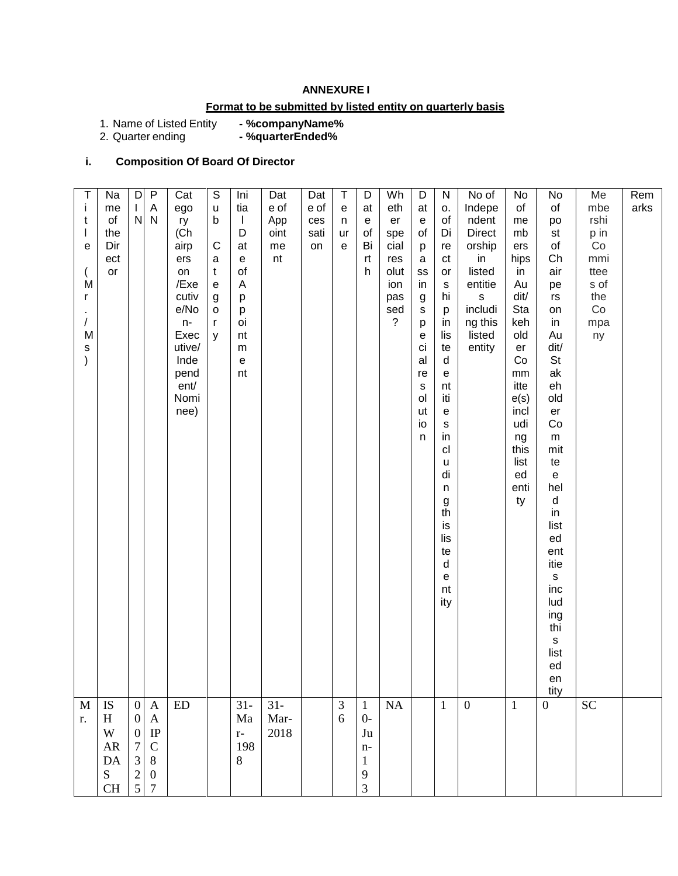### **ANNEXURE I**

# **Format to be submitted by listed entity on quarterly basis**

1. Name of Listed Entity **- %companyName%**

2. Quarter ending **- %quarterEnded%**

# **i. Composition Of Board Of Director**

| $\top$<br>Ť<br>t<br>$\mathsf{I}$<br>e<br>M<br>r<br>/<br>M<br>$\mathsf{s}$<br>$\mathcal{E}$ | Na<br>me<br>o <sub>f</sub><br>the<br>Dir<br>ect<br>or | D<br>$\mathbf{I}$<br>${\sf N}$                                                             | $\sf P$<br>A<br>$\mathsf{N}$                                                                 | Cat<br>ego<br>ry<br>(Ch<br>airp<br>ers<br>on<br>/Exe<br>cutiv<br>e/No<br>$n-$<br>Exec<br>utive/<br>Inde<br>pend<br>ent/<br>Nomi<br>nee) | $\overline{S}$<br>$\sf u$<br>$\mathsf b$<br>$\mathsf{C}$<br>$\mathsf a$<br>$\mathbf{t}$<br>${\bf e}$<br>$\boldsymbol{g}$<br>$\mathsf{o}\,$<br>r<br>y | Ini<br>tia<br>$\mathbf{I}$<br>D<br>at<br>$\mathsf{e}% _{0}\left( \mathsf{e}\right)$<br>of<br>A<br>p<br>р<br>oi<br>nt<br>${\sf m}$<br>$\mathsf{e}% _{t}\left( t\right)$<br>nt | Dat<br>e of<br>App<br>oint<br>me<br>nt | Dat<br>e of<br>ces<br>sati<br>on | $\top$<br>$\mathsf{e}% _{0}\left( \mathsf{e}\right)$<br>n<br>ur<br>e | D<br>at<br>e<br>of<br>Bi<br>rt<br>h                          | Wh<br>eth<br>er<br>spe<br>cial<br>res<br>olut<br>ion<br>pas<br>sed<br>$\overline{?}$ | D<br>at<br>$\mathsf{e}% _{t}\left( t\right)$<br>of<br>р<br>$\mathsf a$<br>SS<br>in<br>$\boldsymbol{g}$<br>${\tt S}$<br>p<br>е<br>ci<br>al<br>re<br>$\mathsf{s}$<br>ol<br>ut<br>io<br>n | ${\sf N}$<br>О.<br>of<br>Di<br>re<br>ct<br>or<br>s<br>hi<br>р<br>in<br>lis<br>te<br>d<br>e<br>nt<br>iti<br>e<br>s<br>in<br>cl<br>u<br>di<br>n<br>g<br>th<br>is<br>lis<br>te<br>d<br>е<br>nt<br>ity | No of<br>Indepe<br>ndent<br>Direct<br>orship<br>in<br>listed<br>entitie<br>$\mathsf{s}$<br>includi<br>ng this<br>listed<br>entity | No<br>of<br>me<br>mb<br>ers<br>hips<br>in<br>Au<br>dit/<br>Sta<br>keh<br>old<br>er<br>Co<br>$\mathsf{mm}$<br>itte<br>e(s)<br>incl<br>udi<br>ng<br>this<br>list<br>ed<br>enti<br>ty | No<br>of<br>po<br>st<br>of<br>Ch<br>air<br>pe<br>rs<br>on<br>in<br>Au<br>dit/<br>St<br>ak<br>eh<br>old<br>er<br>Co<br>${\sf m}$<br>mit<br>te<br>${\bf e}$<br>hel<br>${\sf d}$<br>$\mathsf{in}$<br>list<br>ed<br>ent<br>itie<br>$\mathsf{s}$<br>inc<br>lud<br>ing<br>thi<br>$\mathsf{s}$<br>list<br>ed | Me<br>mbe<br>rshi<br>p in<br>Co<br>mmi<br>ttee<br>s of<br>the<br>Co<br>mpa<br>ny | Rem<br>arks |
|--------------------------------------------------------------------------------------------|-------------------------------------------------------|--------------------------------------------------------------------------------------------|----------------------------------------------------------------------------------------------|-----------------------------------------------------------------------------------------------------------------------------------------|------------------------------------------------------------------------------------------------------------------------------------------------------|------------------------------------------------------------------------------------------------------------------------------------------------------------------------------|----------------------------------------|----------------------------------|----------------------------------------------------------------------|--------------------------------------------------------------|--------------------------------------------------------------------------------------|----------------------------------------------------------------------------------------------------------------------------------------------------------------------------------------|----------------------------------------------------------------------------------------------------------------------------------------------------------------------------------------------------|-----------------------------------------------------------------------------------------------------------------------------------|------------------------------------------------------------------------------------------------------------------------------------------------------------------------------------|-------------------------------------------------------------------------------------------------------------------------------------------------------------------------------------------------------------------------------------------------------------------------------------------------------|----------------------------------------------------------------------------------|-------------|
|                                                                                            |                                                       |                                                                                            |                                                                                              |                                                                                                                                         |                                                                                                                                                      |                                                                                                                                                                              |                                        |                                  |                                                                      |                                                              |                                                                                      |                                                                                                                                                                                        |                                                                                                                                                                                                    |                                                                                                                                   |                                                                                                                                                                                    | en<br>tity                                                                                                                                                                                                                                                                                            |                                                                                  |             |
| $\mathbf M$<br>r.                                                                          | $\mathbf{IS}$<br>H<br>W<br><b>AR</b><br>DA<br>S<br>CH | $\overline{0}$<br>$\boldsymbol{0}$<br>$\overline{0}$<br>$\tau$<br>3<br>$\overline{c}$<br>5 | $\mathbf{A}$<br>$\mathbf{A}$<br>IP<br>$\mathbf C$<br>8<br>$\boldsymbol{0}$<br>$\overline{7}$ | ED                                                                                                                                      |                                                                                                                                                      | $31 -$<br>Ma<br>$r-$<br>198<br>8                                                                                                                                             | $31 -$<br>Mar-<br>2018                 |                                  | $\mathfrak{Z}$<br>6                                                  | $\mathbf{1}$<br>$0-$<br>Ju<br>$n-$<br>$\mathbf{1}$<br>9<br>3 | NA                                                                                   |                                                                                                                                                                                        | $\mathbf{1}$                                                                                                                                                                                       | $\mathbf{0}$                                                                                                                      | $\mathbf{1}$                                                                                                                                                                       | $\overline{0}$                                                                                                                                                                                                                                                                                        | SC                                                                               |             |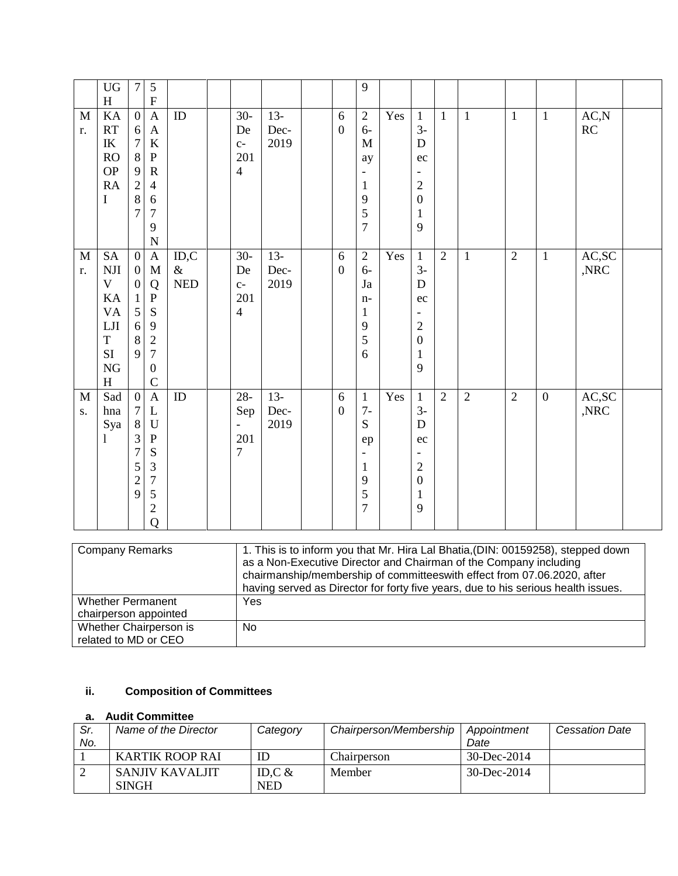|              | ${\rm U}{\rm G}$                  | $\tau$           | $\sqrt{5}$                |            |                          |       |                  | 9                        |     |                          |                |                |                |                  |       |  |
|--------------|-----------------------------------|------------------|---------------------------|------------|--------------------------|-------|------------------|--------------------------|-----|--------------------------|----------------|----------------|----------------|------------------|-------|--|
|              | $H_{\rm}$                         |                  | ${\bf F}$                 |            |                          |       |                  |                          |     |                          |                |                |                |                  |       |  |
| $\mathbf{M}$ | KA                                | $\boldsymbol{0}$ | $\boldsymbol{\mathsf{A}}$ | $\rm ID$   | $30 -$                   | $13-$ | 6                | 2                        | Yes | $\mathbf{1}$             | $\mathbf{1}$   | $\mathbf{1}$   | $\mathbf{1}$   | $\mathbf{1}$     | AC, N |  |
| r.           | RT                                | 6                | $\mathbf{A}$              |            | De                       | Dec-  | $\boldsymbol{0}$ | $6-$                     |     | $3-$                     |                |                |                |                  | RC    |  |
|              | $\ensuremath{\textup{IK}}\xspace$ | $\boldsymbol{7}$ | $\bf K$                   |            | $C-$                     | 2019  |                  | $\mathbf M$              |     | D                        |                |                |                |                  |       |  |
|              | <b>RO</b>                         | $\,8\,$          | ${\bf P}$                 |            | 201                      |       |                  | ay                       |     | ec                       |                |                |                |                  |       |  |
|              | <b>OP</b>                         | 9                | $\mathbb{R}$              |            | $\overline{4}$           |       |                  | $\overline{\phantom{a}}$ |     |                          |                |                |                |                  |       |  |
|              | RA                                | $\overline{2}$   | $\overline{4}$            |            |                          |       |                  | $\mathbf{1}$             |     | $\mathfrak{2}$           |                |                |                |                  |       |  |
|              | $\bf{I}$                          | $\,8\,$          | $\sqrt{6}$                |            |                          |       |                  | 9                        |     | $\boldsymbol{0}$         |                |                |                |                  |       |  |
|              |                                   | $\overline{7}$   | $\overline{7}$            |            |                          |       |                  | 5                        |     | $\,1$                    |                |                |                |                  |       |  |
|              |                                   |                  | 9                         |            |                          |       |                  | $\overline{7}$           |     | 9                        |                |                |                |                  |       |  |
|              |                                   |                  | $\overline{N}$            |            |                          |       |                  |                          |     |                          |                |                |                |                  |       |  |
| $\mathbf M$  | $\operatorname{SA}$               | $\boldsymbol{0}$ | $\mathbf{A}$              | ID, C      | $30 -$                   | $13-$ | $6\,$            | $\overline{2}$           | Yes | $\mathbf{1}$             | $\overline{2}$ | $\mathbf{1}$   | $\overline{2}$ | $\mathbf{1}$     | AC,SC |  |
| r.           | NJI                               | $\boldsymbol{0}$ | $\mathbf{M}$              | $\&$       | De                       | Dec-  | $\boldsymbol{0}$ | $6-$                     |     | $3-$                     |                |                |                |                  | ,NRC  |  |
|              | $\mathbf{V}$                      | $\boldsymbol{0}$ | Q                         | <b>NED</b> | $C-$                     | 2019  |                  | Ja                       |     | D                        |                |                |                |                  |       |  |
|              | KA                                | $\mathbf{1}$     | ${\bf P}$                 |            | 201                      |       |                  | $n-$                     |     | ec                       |                |                |                |                  |       |  |
|              | $\mathbf{V}\mathbf{A}$            | 5                | ${\bf S}$                 |            | $\overline{4}$           |       |                  | $\mathbf{1}$             |     | $\overline{\phantom{a}}$ |                |                |                |                  |       |  |
|              | ${\rm LJI}$                       | 6                | $\mathbf{9}$              |            |                          |       |                  | 9                        |     | $\sqrt{2}$               |                |                |                |                  |       |  |
|              | $\mathbf T$                       | $\,8\,$          | $\sqrt{2}$                |            |                          |       |                  | 5                        |     | $\boldsymbol{0}$         |                |                |                |                  |       |  |
|              | $\rm SI$                          | 9                | $\overline{7}$            |            |                          |       |                  | 6                        |     | $\mathbf{1}$             |                |                |                |                  |       |  |
|              | ${\rm NG}$                        |                  | $\boldsymbol{0}$          |            |                          |       |                  |                          |     | 9                        |                |                |                |                  |       |  |
|              | H                                 |                  | $\mathcal{C}$             |            |                          |       |                  |                          |     |                          |                |                |                |                  |       |  |
| $\mathbf M$  | Sad                               | $\overline{0}$   | $\boldsymbol{A}$          | ID         | $28 -$                   | $13-$ | 6                | $\mathbf{1}$             | Yes | $\mathbf{1}$             | $\overline{2}$ | $\overline{2}$ | $\overline{2}$ | $\boldsymbol{0}$ | AC,SC |  |
| S.           | hna                               | $\boldsymbol{7}$ | L                         |            | Sep                      | Dec-  | $\mathbf{0}$     | $7-$                     |     | $3-$                     |                |                |                |                  | ,NRC  |  |
|              | Sya                               | $8\,$            | $\mathbf U$               |            | $\overline{\phantom{a}}$ | 2019  |                  | S                        |     | D                        |                |                |                |                  |       |  |
|              | 1                                 | $\mathfrak{Z}$   | ${\bf P}$                 |            | 201                      |       |                  | ep                       |     | ec                       |                |                |                |                  |       |  |
|              |                                   | 7                | ${\bf S}$                 |            | $\overline{7}$           |       |                  | $\overline{\phantom{a}}$ |     |                          |                |                |                |                  |       |  |
|              |                                   | 5                | $\mathfrak{Z}$            |            |                          |       |                  | $\mathbf{1}$             |     | $\overline{c}$           |                |                |                |                  |       |  |
|              |                                   | $\overline{c}$   | $\overline{7}$            |            |                          |       |                  | 9                        |     | $\boldsymbol{0}$         |                |                |                |                  |       |  |
|              |                                   | 9                | 5                         |            |                          |       |                  | 5                        |     | $\mathbf{1}$             |                |                |                |                  |       |  |
|              |                                   |                  | $\sqrt{2}$                |            |                          |       |                  | $\overline{7}$           |     | 9                        |                |                |                |                  |       |  |
|              |                                   |                  | $\overline{Q}$            |            |                          |       |                  |                          |     |                          |                |                |                |                  |       |  |
|              |                                   |                  |                           |            |                          |       |                  |                          |     |                          |                |                |                |                  |       |  |

| <b>Company Remarks</b>   | 1. This is to inform you that Mr. Hira Lal Bhatia, (DIN: 00159258), stepped down<br>as a Non-Executive Director and Chairman of the Company including<br>chairmanship/membership of committeeswith effect from 07.06.2020, after<br>having served as Director for forty five years, due to his serious health issues. |
|--------------------------|-----------------------------------------------------------------------------------------------------------------------------------------------------------------------------------------------------------------------------------------------------------------------------------------------------------------------|
| <b>Whether Permanent</b> | Yes                                                                                                                                                                                                                                                                                                                   |
| chairperson appointed    |                                                                                                                                                                                                                                                                                                                       |
| Whether Chairperson is   | No.                                                                                                                                                                                                                                                                                                                   |
| related to MD or CEO     |                                                                                                                                                                                                                                                                                                                       |

# **ii. Composition of Committees**

## **a. Audit Committee**

| Sr. | Name of the Director | Category   | Chairperson/Membership | Appointment       | <b>Cessation Date</b> |
|-----|----------------------|------------|------------------------|-------------------|-----------------------|
| No. |                      |            |                        | Date              |                       |
|     | KARTIK ROOP RAI      | ID         | Chairperson            | $30 - Dec - 2014$ |                       |
|     | SANJIV KAVALJIT      | ID.C $&$   | <b>Member</b>          | 30-Dec-2014       |                       |
|     | <b>SINGH</b>         | <b>NED</b> |                        |                   |                       |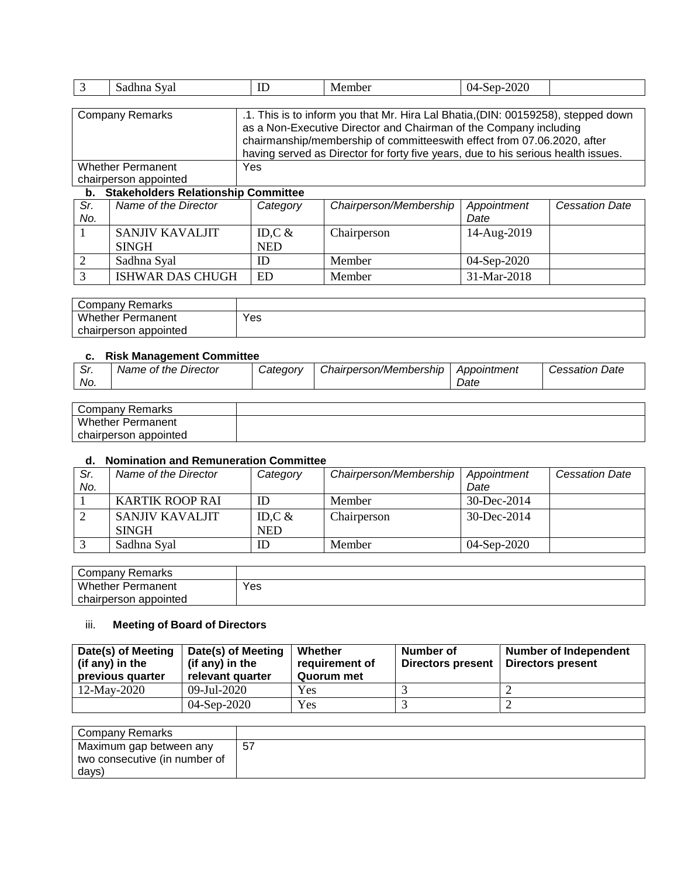|                                       | Sadhna Syal              | ID  | Member | 04-Sep-2020                                                                                                                                                                                                                                                                                                            |  |  |  |  |
|---------------------------------------|--------------------------|-----|--------|------------------------------------------------------------------------------------------------------------------------------------------------------------------------------------------------------------------------------------------------------------------------------------------------------------------------|--|--|--|--|
|                                       |                          |     |        |                                                                                                                                                                                                                                                                                                                        |  |  |  |  |
|                                       | <b>Company Remarks</b>   |     |        | .1. This is to inform you that Mr. Hira Lal Bhatia, (DIN: 00159258), stepped down<br>as a Non-Executive Director and Chairman of the Company including<br>chairmanship/membership of committeeswith effect from 07.06.2020, after<br>having served as Director for forty five years, due to his serious health issues. |  |  |  |  |
|                                       | <b>Whether Permanent</b> | Yes |        |                                                                                                                                                                                                                                                                                                                        |  |  |  |  |
|                                       | chairperson appointed    |     |        |                                                                                                                                                                                                                                                                                                                        |  |  |  |  |
| h Stakeholders Relationshin Committee |                          |     |        |                                                                                                                                                                                                                                                                                                                        |  |  |  |  |

### **b. Stakeholders Relationship Committee**

| Sr. | Name of the Director    | Category   | Chairperson/Membership | Appointment | <b>Cessation Date</b> |
|-----|-------------------------|------------|------------------------|-------------|-----------------------|
| No. |                         |            |                        | Date        |                       |
|     | SANJIV KAVALJIT         | ID, $C &$  | Chairperson            | 14-Aug-2019 |                       |
|     | <b>SINGH</b>            | <b>NED</b> |                        |             |                       |
|     | Sadhna Syal             | ID         | Member                 | 04-Sep-2020 |                       |
|     | <b>ISHWAR DAS CHUGH</b> | ED         | Member                 | 31-Mar-2018 |                       |

| Company Remarks          |     |
|--------------------------|-----|
| <b>Whether Permanent</b> | Yes |
| chairperson appointed    |     |

## **c. Risk Management Committee**

| . .        |                      |          |                        |                     |                       |
|------------|----------------------|----------|------------------------|---------------------|-----------------------|
| Sr.<br>No. | Name of the Director | Categorv | Chairperson/Membership | Appointment<br>Date | <b>Cessation Date</b> |
|            |                      |          |                        |                     |                       |

| Company<br>Remarks       |  |
|--------------------------|--|
| <b>Whether Permanent</b> |  |
| chairperson appointed    |  |

## **d. Nomination and Remuneration Committee**

| Sr.<br>No. | Name of the Director   | Category   | Chairperson/Membership | Appointment<br>Date | <b>Cessation Date</b> |
|------------|------------------------|------------|------------------------|---------------------|-----------------------|
|            |                        |            |                        |                     |                       |
|            | <b>KARTIK ROOP RAI</b> | ID         | Member                 | $30 - Dec - 2014$   |                       |
|            | SANJIV KAVALJIT        | ID, $C &$  | Chairperson            | 30-Dec-2014         |                       |
|            | <b>SINGH</b>           | <b>NED</b> |                        |                     |                       |
|            | Sadhna Syal            | ID         | Member                 | 04-Sep-2020         |                       |

| Company Remarks          |     |
|--------------------------|-----|
| Whether F<br>Permanent   | Yes |
| appointed<br>chairperson |     |

# iii. **Meeting of Board of Directors**

| Date(s) of Meeting<br>(if any) in the<br>previous quarter | Date(s) of Meeting<br>(if any) in the<br>relevant quarter | Whether<br>requirement of<br>Quorum met | Number of<br>Directors present | <b>Number of Independent</b><br>Directors present |
|-----------------------------------------------------------|-----------------------------------------------------------|-----------------------------------------|--------------------------------|---------------------------------------------------|
| 12-May-2020                                               | 09-Jul-2020                                               | Yes                                     |                                |                                                   |
|                                                           | 04-Sep-2020                                               | Yes                                     |                                |                                                   |

| Company Remarks               |    |
|-------------------------------|----|
| Maximum gap between any       | 57 |
| two consecutive (in number of |    |
| days)                         |    |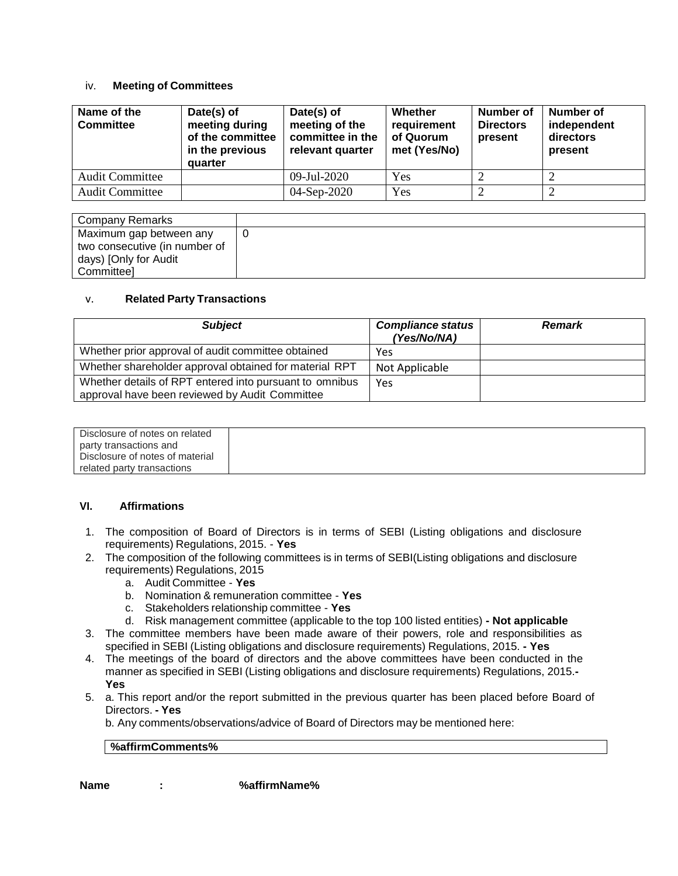### iv. **Meeting of Committees**

| Name of the<br><b>Committee</b> | Date(s) of<br>meeting during<br>of the committee<br>in the previous<br>quarter | Date(s) of<br>meeting of the<br>committee in the<br>relevant quarter | Whether<br>requirement<br>of Quorum<br>met (Yes/No) | Number of<br><b>Directors</b><br>present | Number of<br>independent<br>directors<br>present |
|---------------------------------|--------------------------------------------------------------------------------|----------------------------------------------------------------------|-----------------------------------------------------|------------------------------------------|--------------------------------------------------|
| <b>Audit Committee</b>          |                                                                                | 09-Jul-2020                                                          | Yes                                                 |                                          |                                                  |
| <b>Audit Committee</b>          |                                                                                | 04-Sep-2020                                                          | Yes                                                 |                                          |                                                  |

| Company Remarks               |  |
|-------------------------------|--|
| Maximum gap between any       |  |
| two consecutive (in number of |  |
| days) [Only for Audit         |  |
| Committeel                    |  |

### v. **Related Party Transactions**

| <b>Subject</b>                                                                                            | <b>Compliance status</b><br>(Yes/No/NA) | <b>Remark</b> |
|-----------------------------------------------------------------------------------------------------------|-----------------------------------------|---------------|
| Whether prior approval of audit committee obtained                                                        | Yes                                     |               |
| Whether shareholder approval obtained for material RPT                                                    | Not Applicable                          |               |
| Whether details of RPT entered into pursuant to omnibus<br>approval have been reviewed by Audit Committee | Yes                                     |               |

| Disclosure of notes on related  |  |
|---------------------------------|--|
| party transactions and          |  |
| Disclosure of notes of material |  |
| related party transactions      |  |

### **VI. Affirmations**

- 1. The composition of Board of Directors is in terms of SEBI (Listing obligations and disclosure requirements) Regulations, 2015. - **Yes**
- 2. The composition of the following committees is in terms of SEBI(Listing obligations and disclosure requirements) Regulations, 2015
	- a. Audit Committee **Yes**
	- b. Nomination & remuneration committee **Yes**
	- c. Stakeholders relationship committee **Yes**
	- d. Risk management committee (applicable to the top 100 listed entities) **- Not applicable**
- 3. The committee members have been made aware of their powers, role and responsibilities as specified in SEBI (Listing obligations and disclosure requirements) Regulations, 2015. **- Yes**
- 4. The meetings of the board of directors and the above committees have been conducted in the manner as specified in SEBI (Listing obligations and disclosure requirements) Regulations, 2015.**- Yes**
- 5. a. This report and/or the report submitted in the previous quarter has been placed before Board of Directors. **- Yes**

b. Any comments/observations/advice of Board of Directors may be mentioned here:

## **%affirmComments%**

**Name : %affirmName%**